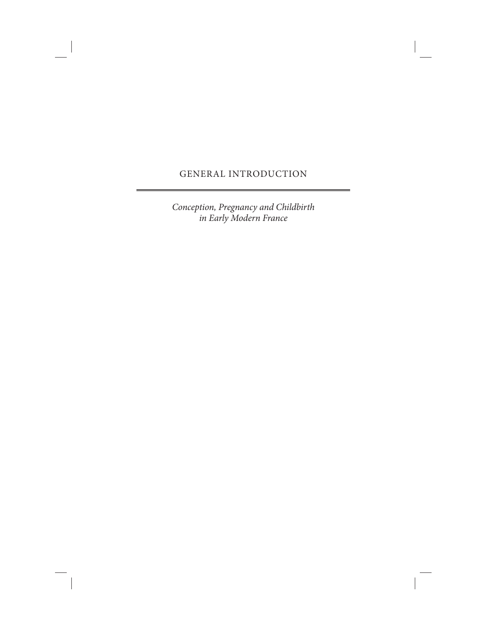# GENERAL INTRODUCTION

*Conception, Pregnancy and Childbirth in Early Modern France*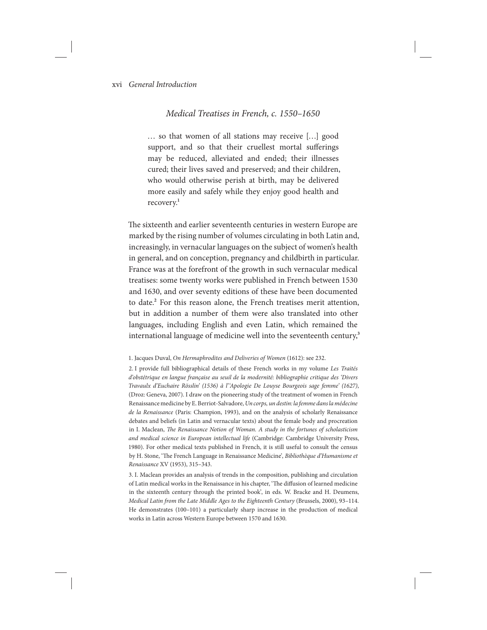## xvi *General Introduction*

## *Medical Treatises in French, c. 1550–1650*

… so that women of all stations may receive […] good support, and so that their cruellest mortal sufferings may be reduced, alleviated and ended; their illnesses cured; their lives saved and preserved; and their children, who would otherwise perish at birth, may be delivered more easily and safely while they enjoy good health and recovery.1

The sixteenth and earlier seventeenth centuries in western Europe are marked by the rising number of volumes circulating in both Latin and, increasingly, in vernacular languages on the subject of women's health in general, and on conception, pregnancy and childbirth in particular. France was at the forefront of the growth in such vernacular medical treatises: some twenty works were published in French between 1530 and 1630, and over seventy editions of these have been documented to date.<sup>2</sup> For this reason alone, the French treatises merit attention, but in addition a number of them were also translated into other languages, including English and even Latin, which remained the international language of medicine well into the seventeenth century,<sup>3</sup>

3. I. Maclean provides an analysis of trends in the composition, publishing and circulation of Latin medical works in the Renaissance in his chapter, 'The diffusion of learned medicine in the sixteenth century through the printed book', in eds. W. Bracke and H. Deumens, *Medical Latin from the Late Middle Ages to the Eighteenth Century* (Brussels, 2000), 93–114. He demonstrates (100–101) a particularly sharp increase in the production of medical works in Latin across Western Europe between 1570 and 1630.

<sup>1.</sup> Jacques Duval, *On Hermaphrodites and Deliveries of Women* (1612): see 232.

<sup>2.</sup> I provide full bibliographical details of these French works in my volume *Les Traités d'obstétrique en langue française au seuil de la modernité: bibliographie critique des 'Divers Travaulx d'Euchaire Rösslin' (1536) à l''Apologie De Louyse Bourgeois sage femme' (1627)*, (Droz: Geneva, 2007). I draw on the pioneering study of the treatment of women in French Renaissance medicine by E. Berriot-Salvadore, *Un corps, un destin: la femme dans la médecine de la Renaissance* (Paris: Champion, 1993), and on the analysis of scholarly Renaissance debates and beliefs (in Latin and vernacular texts) about the female body and procreation in I. Maclean, *The Renaissance Notion of Woman. A study in the fortunes of scholasticism and medical science in European intellectual life* (Cambridge: Cambridge University Press, 1980). For other medical texts published in French, it is still useful to consult the census by H. Stone, 'The French Language in Renaissance Medicine', *Bibliothèque d'Humanisme et Renaissance* XV (1953), 315–343.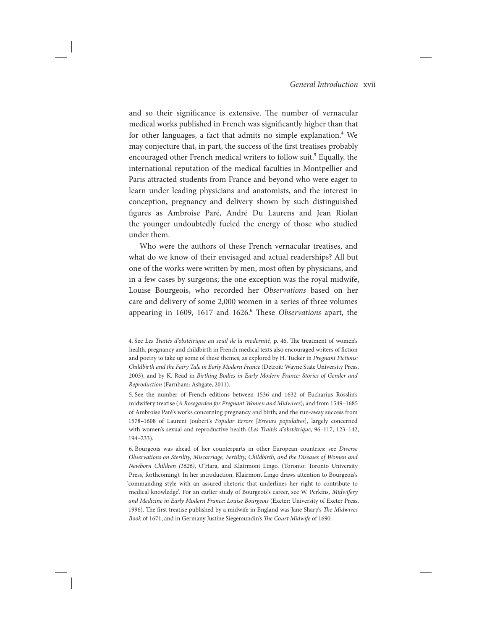and so their significance is extensive. The number of vernacular medical works published in French was significantly higher than that for other languages, a fact that admits no simple explanation.<sup>4</sup> We may conjecture that, in part, the success of the first treatises probably encouraged other French medical writers to follow suit.<sup>5</sup> Equally, the international reputation of the medical faculties in Montpellier and Paris attracted students from France and beyond who were eager to learn under leading physicians and anatomists, and the interest in conception, pregnancy and delivery shown by such distinguished figures as Ambroise Paré, André Du Laurens and Jean Riolan the younger undoubtedly fueled the energy of those who studied under them.

Who were the authors of these French vernacular treatises, and what do we know of their envisaged and actual readerships? All but one of the works were written by men, most often by physicians, and in a few cases by surgeons; the one exception was the royal midwife, Louise Bourgeois, who recorded her *Observations* based on her care and delivery of some 2,000 women in a series of three volumes appearing in 1609, 1617 and 1626.<sup>6</sup> These *Observations* apart, the

6. Bourgeois was ahead of her counterparts in other European countries: see *Diverse Observations on Sterility, Miscarriage, Fertility, Childbirth, and the Diseases of Women and Newborn Children (1626)*, O'Hara, and Klairmont Lingo. (Toronto: Toronto University Press, forthcoming). In her introduction, Klairmont Lingo draws attention to Bourgeois's 'commanding style with an assured rhetoric that underlines her right to contribute to medical knowledge'. For an earlier study of Bourgeois's career, see W. Perkins, *Midwifery and Medicine in Early Modern France: Louise Bourgeois* (Exeter: University of Exeter Press, 1996). The first treatise published by a midwife in England was Jane Sharp's *The Midwives Book* of 1671, and in Germany Justine Siegemundin's *The Court Midwife* of 1690.

<sup>4.</sup> See *Les Traités d'obstétrique au seuil de la modernité*, p. 46. The treatment of women's health, pregnancy and childbirth in French medical texts also encouraged writers of fiction and poetry to take up some of these themes, as explored by H. Tucker in *Pregnant Fictions: Childbirth and the Fairy Tale in Early Modern France* (Detroit: Wayne State University Press, 2003), and by K. Read in *Birthing Bodies in Early Modern France: Stories of Gender and Reproduction* (Farnham: Ashgate, 2011).

<sup>5.</sup> See the number of French editions between 1536 and 1632 of Eucharius Rösslin's midwifery treatise (*A Rosegarden for Pregnant Women and Midwives*); and from 1549–1685 of Ambroise Paré's works concerning pregnancy and birth; and the run-away success from 1578–1608 of Laurent Joubert's *Popular Errors* [*Erreurs populaires*], largely concerned with women's sexual and reproductive health (*Les Traités d'obstétrique*, 96–117, 123–142, 194–233).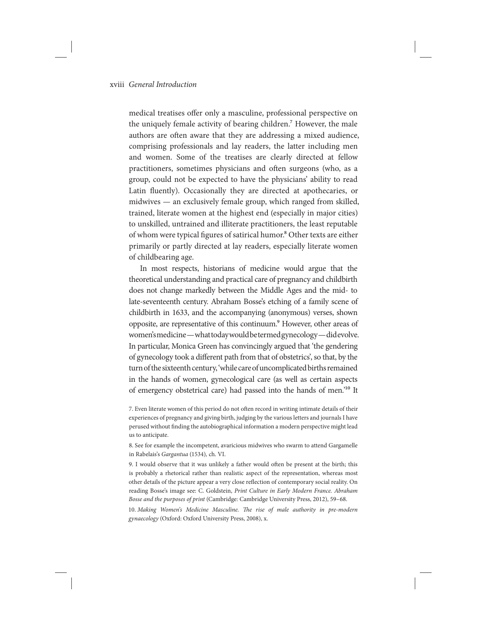## xviii *General Introduction*

medical treatises offer only a masculine, professional perspective on the uniquely female activity of bearing children.<sup>7</sup> However, the male authors are often aware that they are addressing a mixed audience, comprising professionals and lay readers, the latter including men and women. Some of the treatises are clearly directed at fellow practitioners, sometimes physicians and often surgeons (who, as a group, could not be expected to have the physicians' ability to read Latin fluently). Occasionally they are directed at apothecaries, or midwives — an exclusively female group, which ranged from skilled, trained, literate women at the highest end (especially in major cities) to unskilled, untrained and illiterate practitioners, the least reputable of whom were typical figures of satirical humor.8 Other texts are either primarily or partly directed at lay readers, especially literate women of childbearing age.

In most respects, historians of medicine would argue that the theoretical understanding and practical care of pregnancy and childbirth does not change markedly between the Middle Ages and the mid- to late-seventeenth century. Abraham Bosse's etching of a family scene of childbirth in 1633, and the accompanying (anonymous) verses, shown opposite, are representative of this continuum.<sup>9</sup> However, other areas of women's medicine — what today would be termed gynecology — did evolve. In particular, Monica Green has convincingly argued that 'the gendering of gynecology took a different path from that of obstetrics', so that, by the turn of the sixteenth century, 'while care of uncomplicated births remained in the hands of women, gynecological care (as well as certain aspects of emergency obstetrical care) had passed into the hands of men.'10 It

7. Even literate women of this period do not often record in writing intimate details of their experiences of pregnancy and giving birth, judging by the various letters and journals I have perused without finding the autobiographical information a modern perspective might lead us to anticipate.

8. See for example the incompetent, avaricious midwives who swarm to attend Gargamelle in Rabelais's *Gargantua* (1534)*,* ch. VI.

9. I would observe that it was unlikely a father would often be present at the birth; this is probably a rhetorical rather than realistic aspect of the representation, whereas most other details of the picture appear a very close reflection of contemporary social reality. On reading Bosse's image see: C. Goldstein, *Print Culture in Early Modern France. Abraham Bosse and the purposes of print* (Cambridge: Cambridge University Press, 2012), 59–68.

10. *Making Women's Medicine Masculine. The rise of male authority in pre-modern gynaecology* (Oxford: Oxford University Press, 2008), x.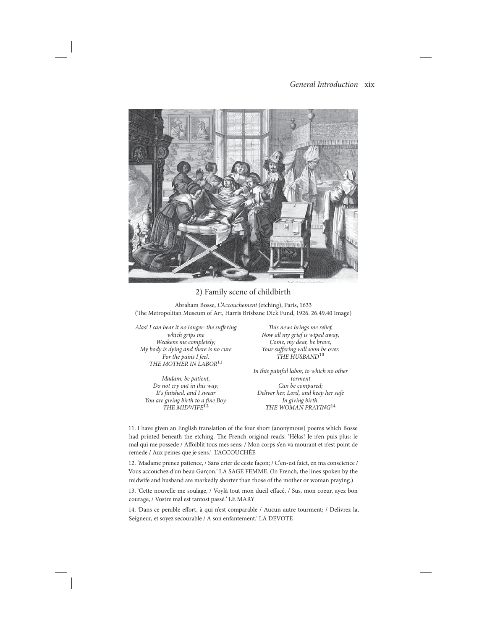### *General Introduction* xix



## 2) Family scene of childbirth

Abraham Bosse, *L'Accouchement* (etching), Paris, 1633 (The Metropolitan Museum of Art, Harris Brisbane Dick Fund, 1926. 26.49.40 Image)

*Alas! I can bear it no longer: the suffering which grips me Weakens me completely; My body is dying and there is no cure For the pains I feel. THE MOTHER IN LABOR*11

*Madam, be patient, Do not cry out in this way; It's finished, and I swear You are giving birth to a fine Boy. THE MIDWIFE*12

*This news brings me relief, Now all my grief is wiped away, Come, my dear, be brave, Your suffering will soon be over. THE HUSBAND*13

*In this painful labor, to which no other torment Can be compared; Deliver her, Lord, and keep her safe In giving birth. THE WOMAN PRAYING*14

11. I have given an English translation of the four short (anonymous) poems which Bosse had printed beneath the etching. The French original reads: 'Hélas! Je n'en puis plus: le mal qui me possede / Affoiblit tous mes sens; / Mon corps s'en va mourant et n'est point de remede / Aux peines que je sens.' L'ACCOUCHÉE

12. 'Madame prenez patience, / Sans crier de ceste façon; / C'en-est faict, en ma conscience / Vous accouchez d'un beau Garçon.' LA SAGE FEMME. (In French, the lines spoken by the midwife and husband are markedly shorter than those of the mother or woman praying.)

13. 'Cette nouvelle me soulage, / Voylà tout mon dueil effacé, / Sus, mon coeur, ayez bon courage, / Vostre mal est tantost passé.' LE MARY

14. 'Dans ce penible effort, à qui n'est comparable / Aucun autre tourment; / Delivrez-la, Seigneur, et soyez secourable / A son enfantement.' LA DEVOTE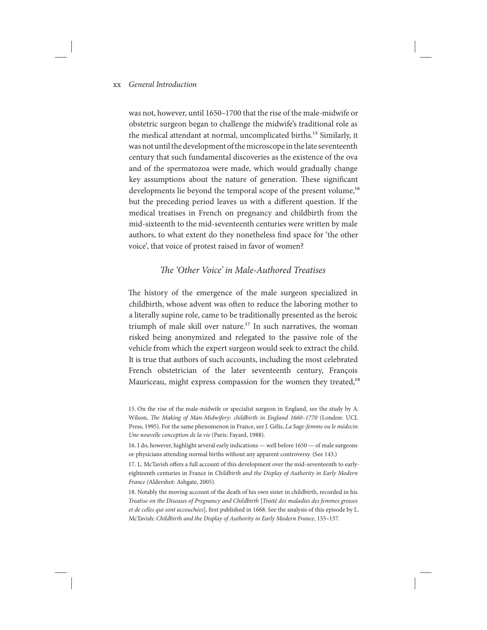## xx *General Introduction*

was not, however, until 1650–1700 that the rise of the male-midwife or obstetric surgeon began to challenge the midwife's traditional role as the medical attendant at normal, uncomplicated births.<sup>15</sup> Similarly, it was not until the development of the microscope in the late seventeenth century that such fundamental discoveries as the existence of the ova and of the spermatozoa were made, which would gradually change key assumptions about the nature of generation. These significant developments lie beyond the temporal scope of the present volume,<sup>16</sup> but the preceding period leaves us with a different question. If the medical treatises in French on pregnancy and childbirth from the mid-sixteenth to the mid-seventeenth centuries were written by male authors, to what extent do they nonetheless find space for 'the other voice', that voice of protest raised in favor of women?

## *The 'Other Voice' in Male-Authored Treatises*

The history of the emergence of the male surgeon specialized in childbirth, whose advent was often to reduce the laboring mother to a literally supine role, came to be traditionally presented as the heroic triumph of male skill over nature.<sup>17</sup> In such narratives, the woman risked being anonymized and relegated to the passive role of the vehicle from which the expert surgeon would seek to extract the child. It is true that authors of such accounts, including the most celebrated French obstetrician of the later seventeenth century, François Mauriceau, might express compassion for the women they treated,<sup>18</sup>

<sup>15.</sup> On the rise of the male-midwife or specialist surgeon in England, see the study by A. Wilson, *The Making of Man-Midwifery: childbirth in England 1660–1770* (London: UCL Press, 1995). For the same phenomenon in France, see J. Gélis, *La Sage-femme ou le médecin. Une nouvelle conception de la vie* (Paris: Fayard, 1988).

<sup>16.</sup> I do, however, highlight several early indications — well before 1650 — of male surgeons or physicians attending normal births without any apparent controversy. (See 143.)

<sup>17.</sup> L. McTavish offers a full account of this development over the mid-seventeenth to earlyeighteenth centuries in France in *Childbirth and the Display of Authority in Early Modern France (*Aldershot: Ashgate, 2005)*.*

<sup>18.</sup> Notably the moving account of the death of his own sister in childbirth, recorded in his *Treatise on the Diseases of Pregnancy and Childbirth* [*Traité des maladies des femmes grosses et de celles qui sont accouchées*], first published in 1668. See the analysis of this episode by L. McTavish: *Childbirth and the Display of Authority in Early Modern France*, 155–157.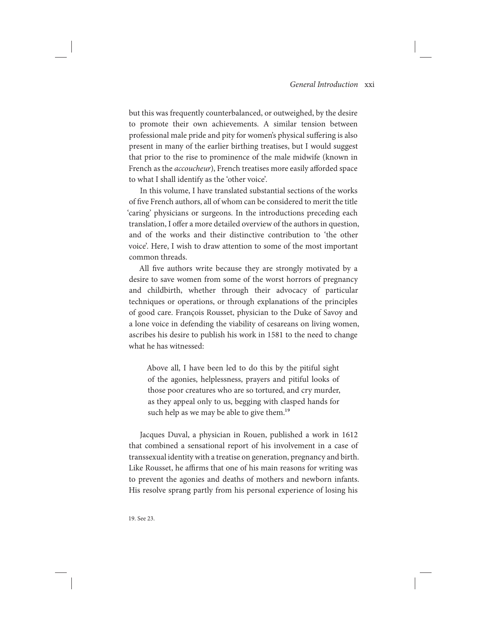but this was frequently counterbalanced, or outweighed, by the desire to promote their own achievements. A similar tension between professional male pride and pity for women's physical suffering is also present in many of the earlier birthing treatises, but I would suggest that prior to the rise to prominence of the male midwife (known in French as the *accoucheur*), French treatises more easily afforded space to what I shall identify as the 'other voice'.

In this volume, I have translated substantial sections of the works of five French authors, all of whom can be considered to merit the title 'caring' physicians or surgeons. In the introductions preceding each translation, I offer a more detailed overview of the authors in question, and of the works and their distinctive contribution to 'the other voice'. Here, I wish to draw attention to some of the most important common threads.

All five authors write because they are strongly motivated by a desire to save women from some of the worst horrors of pregnancy and childbirth, whether through their advocacy of particular techniques or operations, or through explanations of the principles of good care. François Rousset, physician to the Duke of Savoy and a lone voice in defending the viability of cesareans on living women, ascribes his desire to publish his work in 1581 to the need to change what he has witnessed:

Above all, I have been led to do this by the pitiful sight of the agonies, helplessness, prayers and pitiful looks of those poor creatures who are so tortured, and cry murder, as they appeal only to us, begging with clasped hands for such help as we may be able to give them.<sup>19</sup>

Jacques Duval, a physician in Rouen, published a work in 1612 that combined a sensational report of his involvement in a case of transsexual identity with a treatise on generation, pregnancy and birth. Like Rousset, he affirms that one of his main reasons for writing was to prevent the agonies and deaths of mothers and newborn infants. His resolve sprang partly from his personal experience of losing his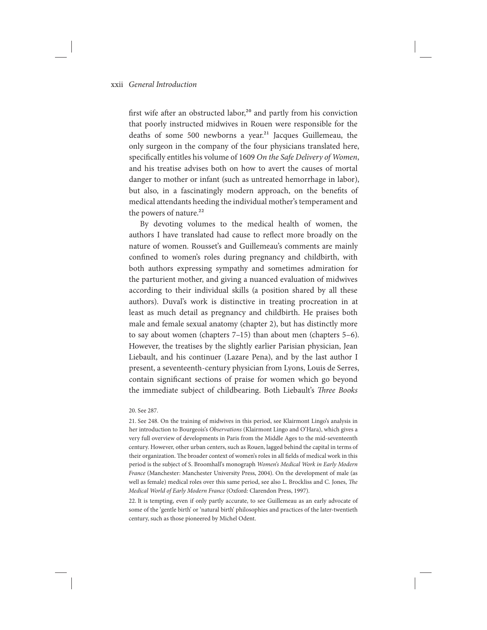## xxii *General Introduction*

first wife after an obstructed labor,<sup>20</sup> and partly from his conviction that poorly instructed midwives in Rouen were responsible for the deaths of some 500 newborns a year.<sup>21</sup> Jacques Guillemeau, the only surgeon in the company of the four physicians translated here, specifically entitles his volume of 1609 *On the Safe Delivery of Women*, and his treatise advises both on how to avert the causes of mortal danger to mother or infant (such as untreated hemorrhage in labor), but also, in a fascinatingly modern approach, on the benefits of medical attendants heeding the individual mother's temperament and the powers of nature.<sup>22</sup>

By devoting volumes to the medical health of women, the authors I have translated had cause to reflect more broadly on the nature of women. Rousset's and Guillemeau's comments are mainly confined to women's roles during pregnancy and childbirth, with both authors expressing sympathy and sometimes admiration for the parturient mother, and giving a nuanced evaluation of midwives according to their individual skills (a position shared by all these authors). Duval's work is distinctive in treating procreation in at least as much detail as pregnancy and childbirth. He praises both male and female sexual anatomy (chapter 2), but has distinctly more to say about women (chapters 7–15) than about men (chapters 5–6). However, the treatises by the slightly earlier Parisian physician, Jean Liebault, and his continuer (Lazare Pena), and by the last author I present, a seventeenth-century physician from Lyons, Louis de Serres, contain significant sections of praise for women which go beyond the immediate subject of childbearing. Both Liebault's *Three Books* 

#### 20. See 287.

21. See 248. On the training of midwives in this period, see Klairmont Lingo's analysis in her introduction to Bourgeois's *Observations* (Klairmont Lingo and O'Hara), which gives a very full overview of developments in Paris from the Middle Ages to the mid-seventeenth century. However, other urban centers, such as Rouen, lagged behind the capital in terms of their organization. The broader context of women's roles in all fields of medical work in this period is the subject of S. Broomhall's monograph *Women's Medical Work in Early Modern France* (Manchester: Manchester University Press, 2004). On the development of male (as well as female) medical roles over this same period, see also L. Brockliss and C. Jones, *The Medical World of Early Modern France* (Oxford: Clarendon Press, 1997).

22. It is tempting, even if only partly accurate, to see Guillemeau as an early advocate of some of the 'gentle birth' or 'natural birth' philosophies and practices of the later-twentieth century, such as those pioneered by Michel Odent.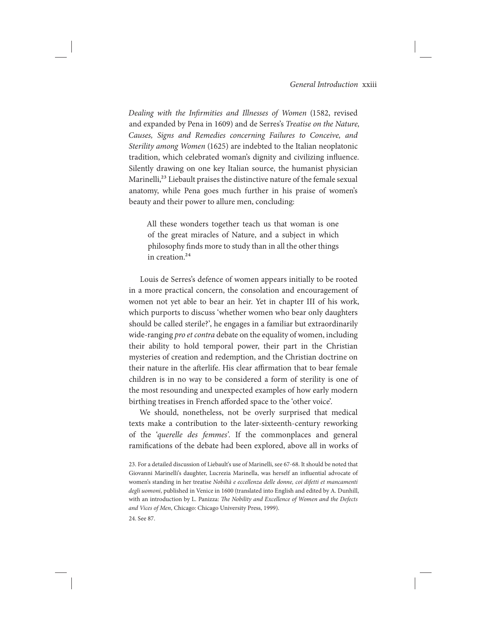*Dealing with the Infirmities and Illnesses of Women* (1582, revised and expanded by Pena in 1609) and de Serres's *Treatise on the Nature, Causes, Signs and Remedies concerning Failures to Conceive, and Sterility among Women* (1625) are indebted to the Italian neoplatonic tradition, which celebrated woman's dignity and civilizing influence. Silently drawing on one key Italian source, the humanist physician Marinelli,<sup>23</sup> Liebault praises the distinctive nature of the female sexual anatomy, while Pena goes much further in his praise of women's beauty and their power to allure men, concluding:

All these wonders together teach us that woman is one of the great miracles of Nature, and a subject in which philosophy finds more to study than in all the other things in creation.<sup>24</sup>

Louis de Serres's defence of women appears initially to be rooted in a more practical concern, the consolation and encouragement of women not yet able to bear an heir. Yet in chapter III of his work, which purports to discuss 'whether women who bear only daughters should be called sterile?', he engages in a familiar but extraordinarily wide-ranging *pro et contra* debate on the equality of women, including their ability to hold temporal power, their part in the Christian mysteries of creation and redemption, and the Christian doctrine on their nature in the afterlife. His clear affirmation that to bear female children is in no way to be considered a form of sterility is one of the most resounding and unexpected examples of how early modern birthing treatises in French afforded space to the 'other voice'.

We should, nonetheless, not be overly surprised that medical texts make a contribution to the later-sixteenth-century reworking of the '*querelle des femmes'*. If the commonplaces and general ramifications of the debate had been explored, above all in works of

<sup>23.</sup> For a detailed discussion of Liebault's use of Marinelli, see 67-68. It should be noted that Giovanni Marinelli's daughter, Lucrezia Marinella, was herself an influential advocate of women's standing in her treatise *Nobiltà e eccellenza delle donne, coi difetti et mancamenti degli uomoni*, published in Venice in 1600 (translated into English and edited by A. Dunhill, with an introduction by L. Panizza: *The Nobility and Excellence of Women and the Defects and Vices of Men*, Chicago: Chicago University Press, 1999). 24. See 87.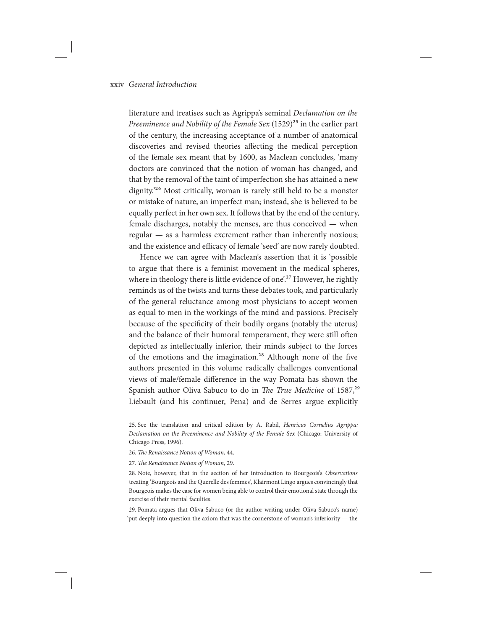## xxiv *General Introduction*

literature and treatises such as Agrippa's seminal *Declamation on the Preeminence and Nobility of the Female Sex* (1529)<sup>25</sup> in the earlier part of the century, the increasing acceptance of a number of anatomical discoveries and revised theories affecting the medical perception of the female sex meant that by 1600, as Maclean concludes, 'many doctors are convinced that the notion of woman has changed, and that by the removal of the taint of imperfection she has attained a new dignity.'26 Most critically, woman is rarely still held to be a monster or mistake of nature, an imperfect man; instead, she is believed to be equally perfect in her own sex. It follows that by the end of the century, female discharges, notably the menses, are thus conceived — when regular — as a harmless excrement rather than inherently noxious; and the existence and efficacy of female 'seed' are now rarely doubted.

Hence we can agree with Maclean's assertion that it is 'possible to argue that there is a feminist movement in the medical spheres, where in theology there is little evidence of one'.<sup>27</sup> However, he rightly reminds us of the twists and turns these debates took, and particularly of the general reluctance among most physicians to accept women as equal to men in the workings of the mind and passions. Precisely because of the specificity of their bodily organs (notably the uterus) and the balance of their humoral temperament, they were still often depicted as intellectually inferior, their minds subject to the forces of the emotions and the imagination.<sup>28</sup> Although none of the five authors presented in this volume radically challenges conventional views of male/female difference in the way Pomata has shown the Spanish author Oliva Sabuco to do in *The True Medicine* of 1587,<sup>29</sup> Liebault (and his continuer, Pena) and de Serres argue explicitly

27. *The Renaissance Notion of Woman*, 29.

28. Note, however, that in the section of her introduction to Bourgeois's *Observations* treating 'Bourgeois and the Querelle des femmes', Klairmont Lingo argues convincingly that Bourgeois makes the case for women being able to control their emotional state through the exercise of their mental faculties.

29. Pomata argues that Oliva Sabuco (or the author writing under Oliva Sabuco's name) 'put deeply into question the axiom that was the cornerstone of woman's inferiority — the

<sup>25.</sup> See the translation and critical edition by A. Rabil, *Henricus Cornelius Agrippa: Declamation on the Preeminence and Nobility of the Female Sex* (Chicago: University of Chicago Press, 1996).

<sup>26.</sup> *The Renaissance Notion of Woman*, 44.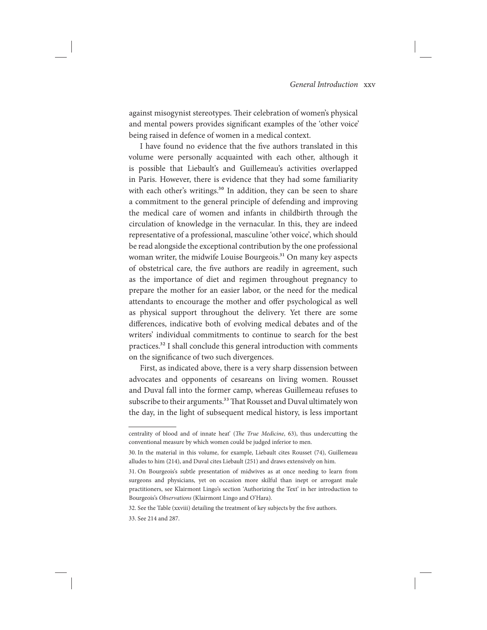against misogynist stereotypes. Their celebration of women's physical and mental powers provides significant examples of the 'other voice' being raised in defence of women in a medical context.

I have found no evidence that the five authors translated in this volume were personally acquainted with each other, although it is possible that Liebault's and Guillemeau's activities overlapped in Paris. However, there is evidence that they had some familiarity with each other's writings.<sup>30</sup> In addition, they can be seen to share a commitment to the general principle of defending and improving the medical care of women and infants in childbirth through the circulation of knowledge in the vernacular. In this, they are indeed representative of a professional, masculine 'other voice', which should be read alongside the exceptional contribution by the one professional woman writer, the midwife Louise Bourgeois.<sup>31</sup> On many key aspects of obstetrical care, the five authors are readily in agreement, such as the importance of diet and regimen throughout pregnancy to prepare the mother for an easier labor, or the need for the medical attendants to encourage the mother and offer psychological as well as physical support throughout the delivery. Yet there are some differences, indicative both of evolving medical debates and of the writers' individual commitments to continue to search for the best practices.32 I shall conclude this general introduction with comments on the significance of two such divergences.

First, as indicated above, there is a very sharp dissension between advocates and opponents of cesareans on living women. Rousset and Duval fall into the former camp, whereas Guillemeau refuses to subscribe to their arguments.<sup>33</sup> That Rousset and Duval ultimately won the day, in the light of subsequent medical history, is less important

centrality of blood and of innate heat' (*The True Medicine*, 63), thus undercutting the conventional measure by which women could be judged inferior to men.

<sup>30.</sup> In the material in this volume, for example, Liebault cites Rousset (74), Guillemeau alludes to him (214), and Duval cites Liebault (251) and draws extensively on him.

<sup>31.</sup> On Bourgeois's subtle presentation of midwives as at once needing to learn from surgeons and physicians, yet on occasion more skilful than inept or arrogant male practitioners, see Klairmont Lingo's section 'Authorizing the Text' in her introduction to Bourgeois's *Observations* (Klairmont Lingo and O'Hara).

<sup>32.</sup> See the Table (xxviii) detailing the treatment of key subjects by the five authors. 33. See 214 and 287.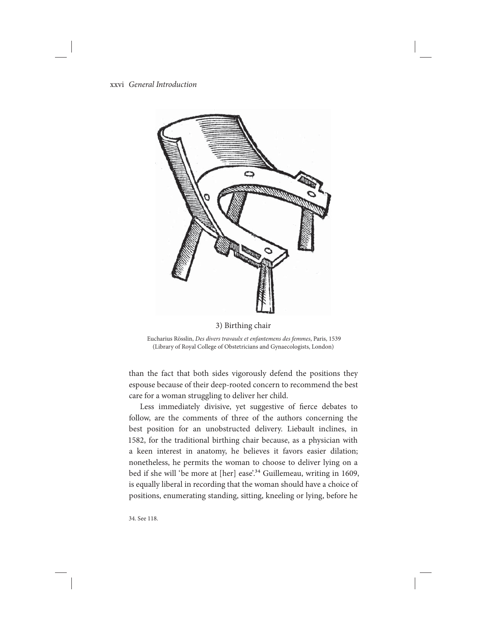### xxvi *General Introduction*



## 3) Birthing chair

 Eucharius Rösslin, *Des divers travaulx et enfantemens des femmes*, Paris, 1539 (Library of Royal College of Obstetricians and Gynaecologists, London)

than the fact that both sides vigorously defend the positions they espouse because of their deep-rooted concern to recommend the best care for a woman struggling to deliver her child.

Less immediately divisive, yet suggestive of fierce debates to follow, are the comments of three of the authors concerning the best position for an unobstructed delivery. Liebault inclines, in 1582, for the traditional birthing chair because, as a physician with a keen interest in anatomy, he believes it favors easier dilation; nonetheless, he permits the woman to choose to deliver lying on a bed if she will 'be more at [her] ease'.<sup>34</sup> Guillemeau, writing in 1609, is equally liberal in recording that the woman should have a choice of positions, enumerating standing, sitting, kneeling or lying, before he

34. See 118.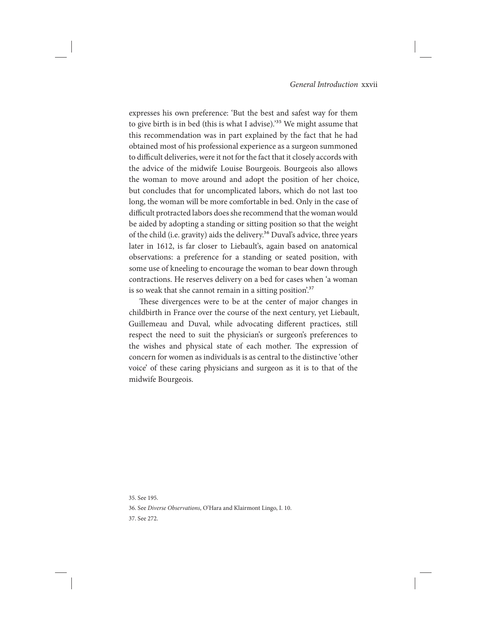expresses his own preference: 'But the best and safest way for them to give birth is in bed (this is what I advise).'35 We might assume that this recommendation was in part explained by the fact that he had obtained most of his professional experience as a surgeon summoned to difficult deliveries, were it not for the fact that it closely accords with the advice of the midwife Louise Bourgeois. Bourgeois also allows the woman to move around and adopt the position of her choice, but concludes that for uncomplicated labors, which do not last too long, the woman will be more comfortable in bed. Only in the case of difficult protracted labors does she recommend that the woman would be aided by adopting a standing or sitting position so that the weight of the child (i.e. gravity) aids the delivery.<sup>36</sup> Duval's advice, three years later in 1612, is far closer to Liebault's, again based on anatomical observations: a preference for a standing or seated position, with some use of kneeling to encourage the woman to bear down through contractions. He reserves delivery on a bed for cases when 'a woman is so weak that she cannot remain in a sitting position<sup>'37</sup>

These divergences were to be at the center of major changes in childbirth in France over the course of the next century, yet Liebault, Guillemeau and Duval, while advocating different practices, still respect the need to suit the physician's or surgeon's preferences to the wishes and physical state of each mother. The expression of concern for women as individuals is as central to the distinctive 'other voice' of these caring physicians and surgeon as it is to that of the midwife Bourgeois.

35. See 195. 36. See *Diverse Observations*, O'Hara and Klairmont Lingo, I. 10. 37. See 272.